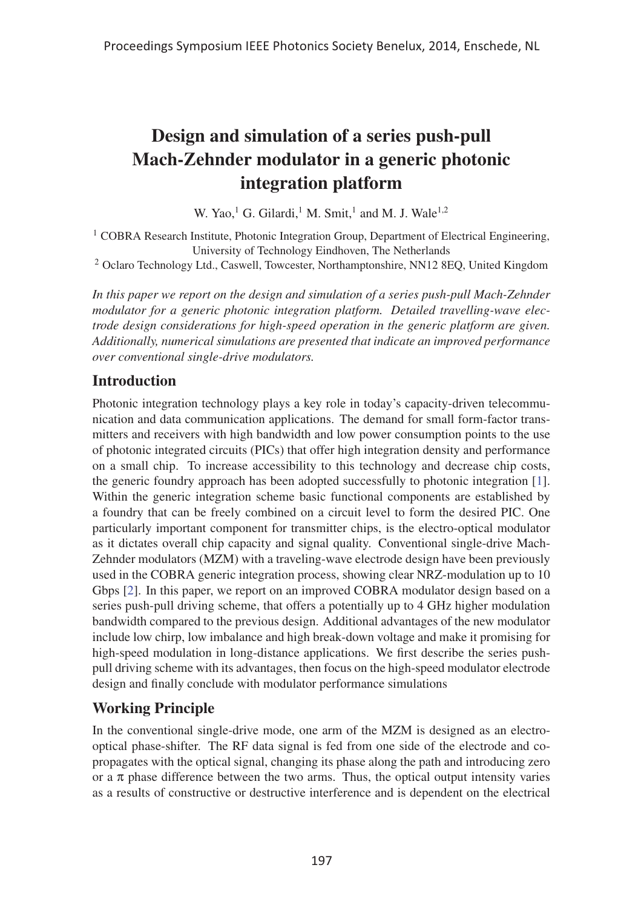# Design and simulation of a series push-pull Mach-Zehnder modulator in a generic photonic integration platform

W. Yao,<sup>1</sup> G. Gilardi,<sup>1</sup> M. Smit,<sup>1</sup> and M. J. Wale<sup>1,2</sup>

<sup>1</sup> COBRA Research Institute, Photonic Integration Group, Department of Electrical Engineering, University of Technology Eindhoven, The Netherlands

<sup>2</sup> Oclaro Technology Ltd., Caswell, Towcester, Northamptonshire, NN12 8EQ, United Kingdom

*In this paper we report on the design and simulation of a series push-pull Mach-Zehnder modulator for a generic photonic integration platform. Detailed travelling-wave electrode design considerations for high-speed operation in the generic platform are given. Additionally, numerical simulations are presented that indicate an improved performance over conventional single-drive modulators.*

# Introduction

Photonic integration technology plays a key role in today's capacity-driven telecommunication and data communication applications. The demand for small form-factor transmitters and receivers with high bandwidth and low power consumption points to the use of photonic integrated circuits (PICs) that offer high integration density and performance on a small chip. To increase accessibility to this technology and decrease chip costs, the generic foundry approach has been adopted successfully to photonic integration [1]. Within the generic integration scheme basic functional components are established by a foundry that can be freely combined on a circuit level to form the desired PIC. One particularly important component for transmitter chips, is the electro-optical modulator as it dictates overall chip capacity and signal quality. Conventional single-drive Mach-Zehnder modulators (MZM) with a traveling-wave electrode design have been previously used in the COBRA generic integration process, showing clear NRZ-modulation up to 10 Gbps [2]. In this paper, we report on an improved COBRA modulator design based on a series push-pull driving scheme, that offers a potentially up to 4 GHz higher modulation bandwidth compared to the previous design. Additional advantages of the new modulator include low chirp, low imbalance and high break-down voltage and make it promising for high-speed modulation in long-distance applications. We first describe the series pushpull driving scheme with its advantages, then focus on the high-speed modulator electrode design and finally conclude with modulator performance simulations

# Working Principle

In the conventional single-drive mode, one arm of the MZM is designed as an electrooptical phase-shifter. The RF data signal is fed from one side of the electrode and copropagates with the optical signal, changing its phase along the path and introducing zero or a  $\pi$  phase difference between the two arms. Thus, the optical output intensity varies as a results of constructive or destructive interference and is dependent on the electrical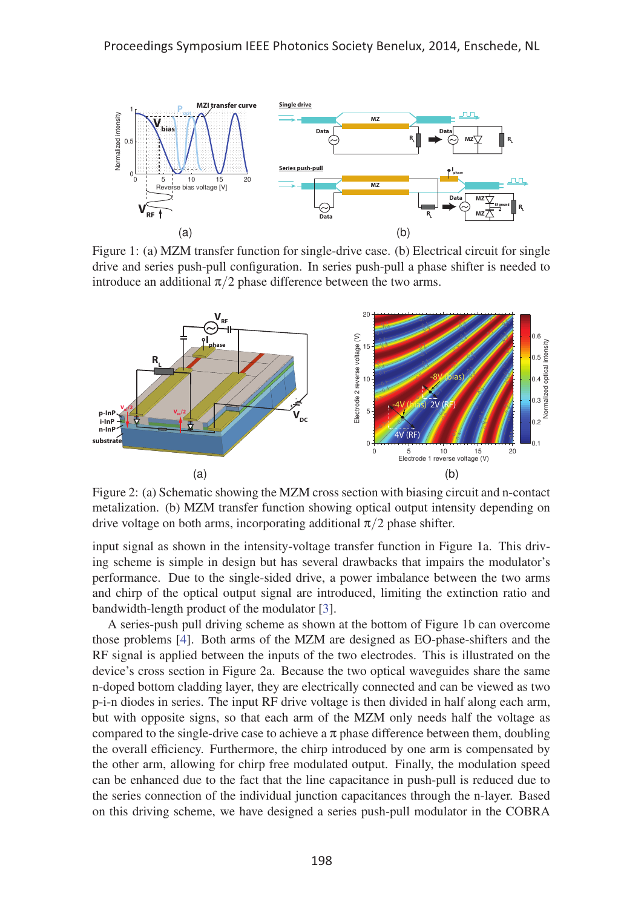

Figure 1: (a) MZM transfer function for single-drive case. (b) Electrical circuit for single drive and series push-pull configuration. In series push-pull a phase shifter is needed to introduce an additional  $\pi/2$  phase difference between the two arms.



Figure 2: (a) Schematic showing the MZM cross section with biasing circuit and n-contact metalization. (b) MZM transfer function showing optical output intensity depending on drive voltage on both arms, incorporating additional  $\pi/2$  phase shifter.

input signal as shown in the intensity-voltage transfer function in Figure 1a. This driving scheme is simple in design but has several drawbacks that impairs the modulator's performance. Due to the single-sided drive, a power imbalance between the two arms and chirp of the optical output signal are introduced, limiting the extinction ratio and bandwidth-length product of the modulator [3].

A series-push pull driving scheme as shown at the bottom of Figure 1b can overcome those problems [4]. Both arms of the MZM are designed as EO-phase-shifters and the RF signal is applied between the inputs of the two electrodes. This is illustrated on the device's cross section in Figure 2a. Because the two optical waveguides share the same n-doped bottom cladding layer, they are electrically connected and can be viewed as two p-i-n diodes in series. The input RF drive voltage is then divided in half along each arm, but with opposite signs, so that each arm of the MZM only needs half the voltage as compared to the single-drive case to achieve a  $\pi$  phase difference between them, doubling the overall efficiency. Furthermore, the chirp introduced by one arm is compensated by the other arm, allowing for chirp free modulated output. Finally, the modulation speed can be enhanced due to the fact that the line capacitance in push-pull is reduced due to the series connection of the individual junction capacitances through the n-layer. Based on this driving scheme, we have designed a series push-pull modulator in the COBRA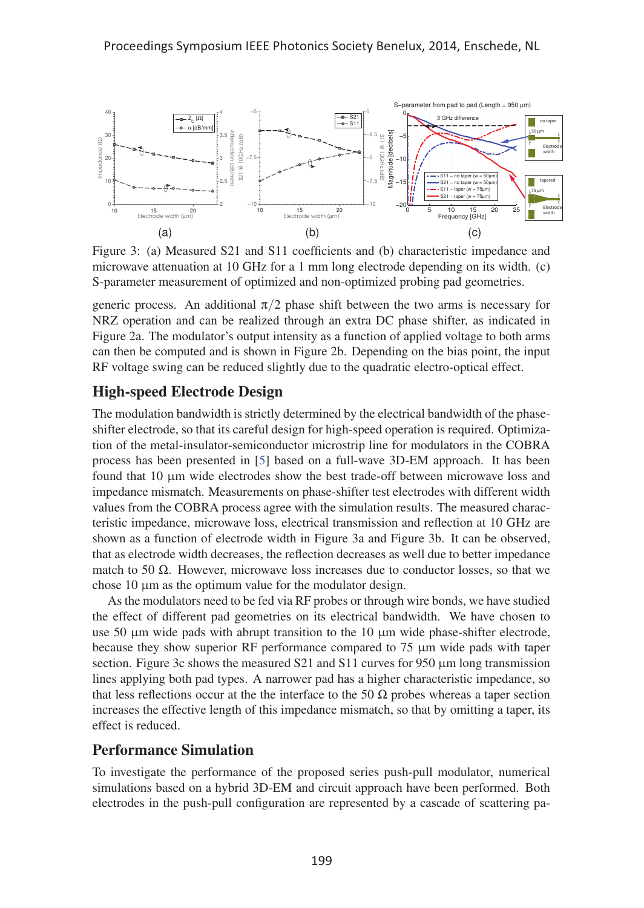

Figure 3: (a) Measured S21 and S11 coefficients and (b) characteristic impedance and microwave attenuation at 10 GHz for a 1 mm long electrode depending on its width. (c) S-parameter measurement of optimized and non-optimized probing pad geometries.

generic process. An additional  $\pi/2$  phase shift between the two arms is necessary for NRZ operation and can be realized through an extra DC phase shifter, as indicated in Figure 2a. The modulator's output intensity as a function of applied voltage to both arms can then be computed and is shown in Figure 2b. Depending on the bias point, the input RF voltage swing can be reduced slightly due to the quadratic electro-optical effect.

#### High-speed Electrode Design

The modulation bandwidth is strictly determined by the electrical bandwidth of the phaseshifter electrode, so that its careful design for high-speed operation is required. Optimization of the metal-insulator-semiconductor microstrip line for modulators in the COBRA process has been presented in [5] based on a full-wave 3D-EM approach. It has been found that 10 μm wide electrodes show the best trade-off between microwave loss and impedance mismatch. Measurements on phase-shifter test electrodes with different width values from the COBRA process agree with the simulation results. The measured characteristic impedance, microwave loss, electrical transmission and reflection at 10 GHz are shown as a function of electrode width in Figure 3a and Figure 3b. It can be observed, that as electrode width decreases, the reflection decreases as well due to better impedance match to 50  $Ω$ . However, microwave loss increases due to conductor losses, so that we chose 10 μm as the optimum value for the modulator design.

As the modulators need to be fed via RF probes or through wire bonds, we have studied the effect of different pad geometries on its electrical bandwidth. We have chosen to use 50 μm wide pads with abrupt transition to the 10 μm wide phase-shifter electrode, because they show superior RF performance compared to 75 μm wide pads with taper section. Figure 3c shows the measured S21 and S11 curves for 950 μm long transmission lines applying both pad types. A narrower pad has a higher characteristic impedance, so that less reflections occur at the the interface to the 50  $\Omega$  probes whereas a taper section increases the effective length of this impedance mismatch, so that by omitting a taper, its effect is reduced.

#### Performance Simulation

To investigate the performance of the proposed series push-pull modulator, numerical simulations based on a hybrid 3D-EM and circuit approach have been performed. Both electrodes in the push-pull configuration are represented by a cascade of scattering pa-